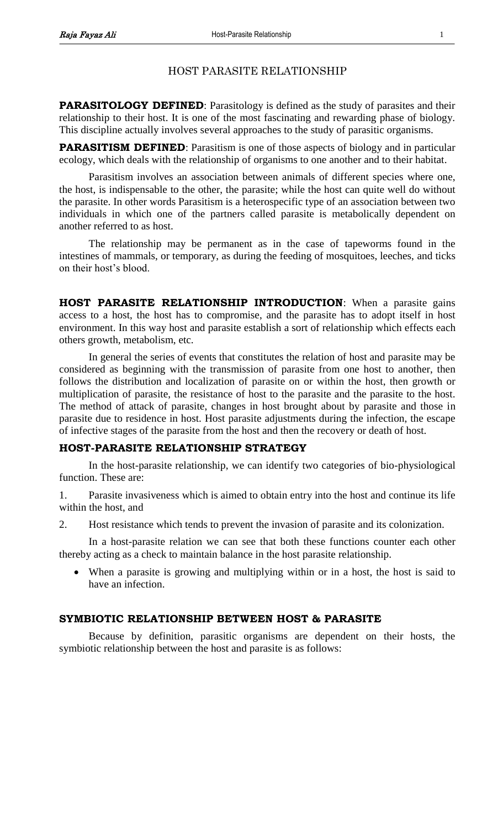#### HOST PARASITE RELATIONSHIP

**PARASITOLOGY DEFINED:** Parasitology is defined as the study of parasites and their relationship to their host. It is one of the most fascinating and rewarding phase of biology. This discipline actually involves several approaches to the study of parasitic organisms.

**PARASITISM DEFINED**: Parasitism is one of those aspects of biology and in particular ecology, which deals with the relationship of organisms to one another and to their habitat.

Parasitism involves an association between animals of different species where one, the host, is indispensable to the other, the parasite; while the host can quite well do without the parasite. In other words Parasitism is a heterospecific type of an association between two individuals in which one of the partners called parasite is metabolically dependent on another referred to as host.

The relationship may be permanent as in the case of tapeworms found in the intestines of mammals, or temporary, as during the feeding of mosquitoes, leeches, and ticks on their host's blood.

**HOST PARASITE RELATIONSHIP INTRODUCTION**: When a parasite gains access to a host, the host has to compromise, and the parasite has to adopt itself in host environment. In this way host and parasite establish a sort of relationship which effects each others growth, metabolism, etc.

In general the series of events that constitutes the relation of host and parasite may be considered as beginning with the transmission of parasite from one host to another, then follows the distribution and localization of parasite on or within the host, then growth or multiplication of parasite, the resistance of host to the parasite and the parasite to the host. The method of attack of parasite, changes in host brought about by parasite and those in parasite due to residence in host. Host parasite adjustments during the infection, the escape of infective stages of the parasite from the host and then the recovery or death of host.

#### **HOST-PARASITE RELATIONSHIP STRATEGY**

In the host-parasite relationship, we can identify two categories of bio-physiological function. These are:

1. Parasite invasiveness which is aimed to obtain entry into the host and continue its life within the host, and

2. Host resistance which tends to prevent the invasion of parasite and its colonization.

In a host-parasite relation we can see that both these functions counter each other thereby acting as a check to maintain balance in the host parasite relationship.

 When a parasite is growing and multiplying within or in a host, the host is said to have an infection.

#### **SYMBIOTIC RELATIONSHIP BETWEEN HOST & PARASITE**

Because by definition, parasitic organisms are dependent on their hosts, the symbiotic relationship between the host and parasite is as follows: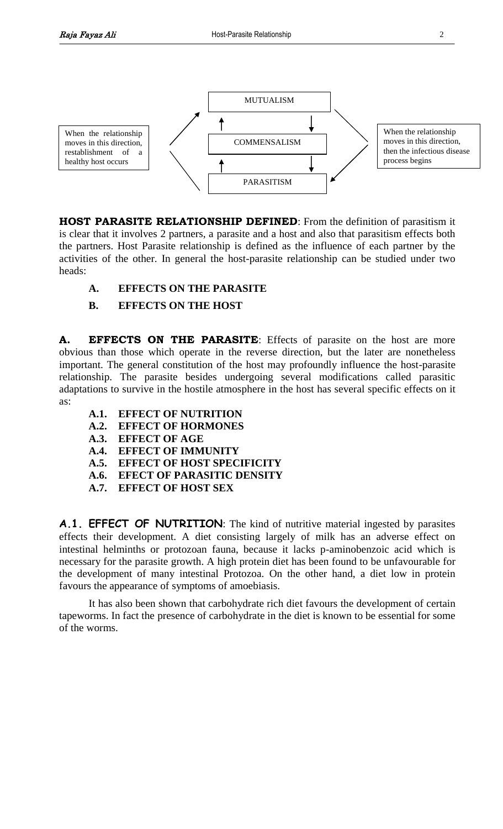

**HOST PARASITE RELATIONSHIP DEFINED**: From the definition of parasitism it is clear that it involves 2 partners, a parasite and a host and also that parasitism effects both the partners. Host Parasite relationship is defined as the influence of each partner by the activities of the other. In general the host-parasite relationship can be studied under two heads:

**A. EFFECTS ON THE PARASITE**

# **B. EFFECTS ON THE HOST**

**A. EFFECTS ON THE PARASITE**: Effects of parasite on the host are more obvious than those which operate in the reverse direction, but the later are nonetheless important. The general constitution of the host may profoundly influence the host-parasite relationship. The parasite besides undergoing several modifications called parasitic adaptations to survive in the hostile atmosphere in the host has several specific effects on it as:

- **A.1. EFFECT OF NUTRITION**
- **A.2. EFFECT OF HORMONES**
- **A.3. EFFECT OF AGE**
- **A.4. EFFECT OF IMMUNITY**
- **A.5. EFFECT OF HOST SPECIFICITY**
- **A.6. EFECT OF PARASITIC DENSITY**
- **A.7. EFFECT OF HOST SEX**

**A.1. EFFECT OF NUTRITION**: The kind of nutritive material ingested by parasites effects their development. A diet consisting largely of milk has an adverse effect on intestinal helminths or protozoan fauna, because it lacks p-aminobenzoic acid which is necessary for the parasite growth. A high protein diet has been found to be unfavourable for the development of many intestinal Protozoa. On the other hand, a diet low in protein favours the appearance of symptoms of amoebiasis.

It has also been shown that carbohydrate rich diet favours the development of certain tapeworms. In fact the presence of carbohydrate in the diet is known to be essential for some of the worms.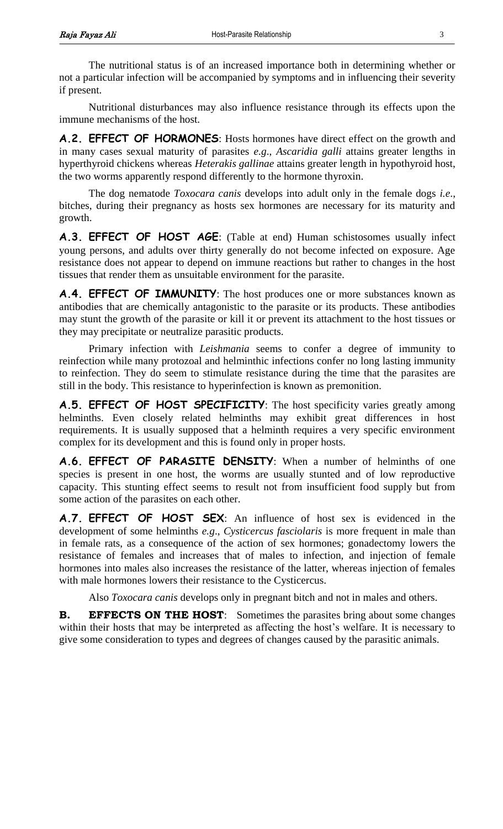The nutritional status is of an increased importance both in determining whether or not a particular infection will be accompanied by symptoms and in influencing their severity if present.

Nutritional disturbances may also influence resistance through its effects upon the immune mechanisms of the host.

**A.2. EFFECT OF HORMONES**: Hosts hormones have direct effect on the growth and in many cases sexual maturity of parasites *e.g*., *Ascaridia galli* attains greater lengths in hyperthyroid chickens whereas *Heterakis gallinae* attains greater length in hypothyroid host, the two worms apparently respond differently to the hormone thyroxin.

The dog nematode *Toxocara canis* develops into adult only in the female dogs *i.e*., bitches, during their pregnancy as hosts sex hormones are necessary for its maturity and growth.

**A.3. EFFECT OF HOST AGE**: (Table at end) Human schistosomes usually infect young persons, and adults over thirty generally do not become infected on exposure. Age resistance does not appear to depend on immune reactions but rather to changes in the host tissues that render them as unsuitable environment for the parasite.

**A.4. EFFECT OF IMMUNITY**: The host produces one or more substances known as antibodies that are chemically antagonistic to the parasite or its products. These antibodies may stunt the growth of the parasite or kill it or prevent its attachment to the host tissues or they may precipitate or neutralize parasitic products.

Primary infection with *Leishmania* seems to confer a degree of immunity to reinfection while many protozoal and helminthic infections confer no long lasting immunity to reinfection. They do seem to stimulate resistance during the time that the parasites are still in the body. This resistance to hyperinfection is known as premonition.

**A.5. EFFECT OF HOST SPECIFICITY**: The host specificity varies greatly among helminths. Even closely related helminths may exhibit great differences in host requirements. It is usually supposed that a helminth requires a very specific environment complex for its development and this is found only in proper hosts.

**A.6. EFFECT OF PARASITE DENSITY**: When a number of helminths of one species is present in one host, the worms are usually stunted and of low reproductive capacity. This stunting effect seems to result not from insufficient food supply but from some action of the parasites on each other.

**A.7. EFFECT OF HOST SEX**: An influence of host sex is evidenced in the development of some helminths *e.g*., *Cysticercus fasciolaris* is more frequent in male than in female rats, as a consequence of the action of sex hormones; gonadectomy lowers the resistance of females and increases that of males to infection, and injection of female hormones into males also increases the resistance of the latter, whereas injection of females with male hormones lowers their resistance to the Cysticercus.

Also *Toxocara canis* develops only in pregnant bitch and not in males and others.

**B. EFFECTS ON THE HOST**: Sometimes the parasites bring about some changes within their hosts that may be interpreted as affecting the host's welfare. It is necessary to give some consideration to types and degrees of changes caused by the parasitic animals.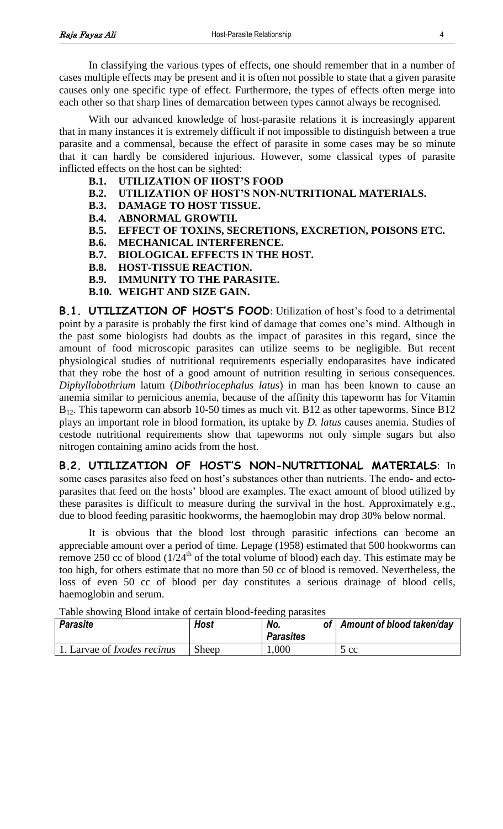In classifying the various types of effects, one should remember that in a number of cases multiple effects may be present and it is often not possible to state that a given parasite causes only one specific type of effect. Furthermore, the types of effects often merge into each other so that sharp lines of demarcation between types cannot always be recognised.

With our advanced knowledge of host-parasite relations it is increasingly apparent that in many instances it is extremely difficult if not impossible to distinguish between a true parasite and a commensal, because the effect of parasite in some cases may be so minute that it can hardly be considered injurious. However, some classical types of parasite inflicted effects on the host can be sighted:

- **B.1. UTILIZATION OF HOST'S FOOD**
- **B.2. UTILIZATION OF HOST'S NON-NUTRITIONAL MATERIALS.**
- **B.3. DAMAGE TO HOST TISSUE.**
- **B.4. ABNORMAL GROWTH.**
- **B.5. EFFECT OF TOXINS, SECRETIONS, EXCRETION, POISONS ETC.**
- **B.6. MECHANICAL INTERFERENCE.**
- **B.7. BIOLOGICAL EFFECTS IN THE HOST.**
- **B.8. HOST-TISSUE REACTION.**
- **B.9. IMMUNITY TO THE PARASITE.**
- **B.10. WEIGHT AND SIZE GAIN.**

**B.1. UTILIZATION OF HOST'S FOOD:** Utilization of host's food to a detrimental point by a parasite is probably the first kind of damage that comes one's mind. Although in the past some biologists had doubts as the impact of parasites in this regard, since the amount of food microscopic parasites can utilize seems to be negligible. But recent physiological studies of nutritional requirements especially endoparasites have indicated that they robe the host of a good amount of nutrition resulting in serious consequences. *Diphyllobothrium* latum (*Dibothriocephalus latus*) in man has been known to cause an anemia similar to pernicious anemia, because of the affinity this tapeworm has for Vitamin  $B_{12}$ . This tapeworm can absorb 10-50 times as much vit. B12 as other tapeworms. Since B12 plays an important role in blood formation, its uptake by *D. latus* causes anemia. Studies of cestode nutritional requirements show that tapeworms not only simple sugars but also nitrogen containing amino acids from the host.

**B.2. UTILIZATION OF HOST'S NON-NUTRITIONAL MATERIALS**: In some cases parasites also feed on host's substances other than nutrients. The endo- and ectoparasites that feed on the hosts' blood are examples. The exact amount of blood utilized by these parasites is difficult to measure during the survival in the host. Approximately e.g., due to blood feeding parasitic hookworms, the haemoglobin may drop 30% below normal.

It is obvious that the blood lost through parasitic infections can become an appreciable amount over a period of time. Lepage (1958) estimated that 500 hookworms can remove 250 cc of blood  $(1/24<sup>th</sup>$  of the total volume of blood) each day. This estimate may be too high, for others estimate that no more than 50 cc of blood is removed. Nevertheless, the loss of even 50 cc of blood per day constitutes a serious drainage of blood cells, haemoglobin and serum.

| Table showing Drood miake of certain prood-recumg parasites |             |                                         |                           |  |  |  |  |
|-------------------------------------------------------------|-------------|-----------------------------------------|---------------------------|--|--|--|--|
| <b>Parasite</b>                                             | <b>Host</b> | $of \sqrt{}$<br>No.<br><b>Parasites</b> | Amount of blood taken/day |  |  |  |  |
| 1. Larvae of <i>Ixodes recinus</i>                          | Sheep       | ,000                                    | $5 \text{ cc}$            |  |  |  |  |

Table showing Blood intake of certain blood-feeding parasites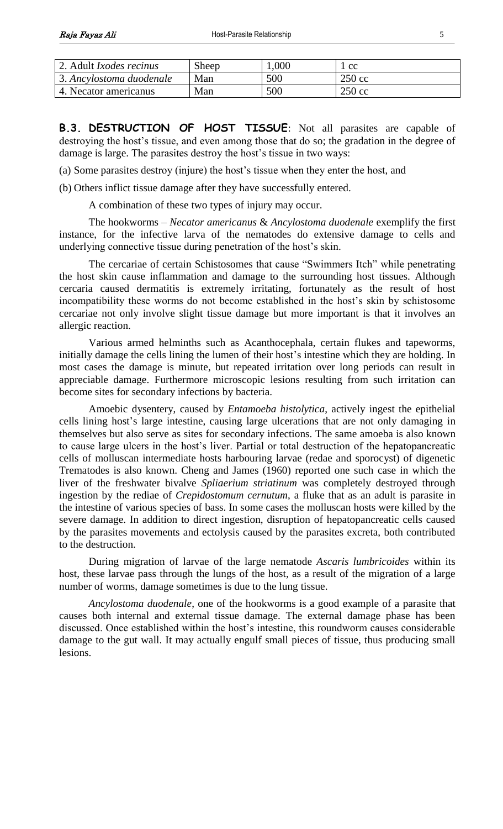| 2. Adult <i>Ixodes recinus</i> | Sheep | ,000 | <sub>c</sub> c   |
|--------------------------------|-------|------|------------------|
| 3. Ancylostoma duodenale       | Man   | 500  | $250 \text{ cc}$ |
| 4. Necator americanus          | Man   | 500  | $250 \text{ cc}$ |

**B.3. DESTRUCTION OF HOST TISSUE**: Not all parasites are capable of destroying the host's tissue, and even among those that do so; the gradation in the degree of damage is large. The parasites destroy the host's tissue in two ways:

(a) Some parasites destroy (injure) the host's tissue when they enter the host, and

(b) Others inflict tissue damage after they have successfully entered.

A combination of these two types of injury may occur.

The hookworms – *Necator americanus* & *Ancylostoma duodenale* exemplify the first instance, for the infective larva of the nematodes do extensive damage to cells and underlying connective tissue during penetration of the host's skin.

The cercariae of certain Schistosomes that cause "Swimmers Itch" while penetrating the host skin cause inflammation and damage to the surrounding host tissues. Although cercaria caused dermatitis is extremely irritating, fortunately as the result of host incompatibility these worms do not become established in the host's skin by schistosome cercariae not only involve slight tissue damage but more important is that it involves an allergic reaction.

Various armed helminths such as Acanthocephala, certain flukes and tapeworms, initially damage the cells lining the lumen of their host's intestine which they are holding. In most cases the damage is minute, but repeated irritation over long periods can result in appreciable damage. Furthermore microscopic lesions resulting from such irritation can become sites for secondary infections by bacteria.

Amoebic dysentery, caused by *Entamoeba histolytica*, actively ingest the epithelial cells lining host's large intestine, causing large ulcerations that are not only damaging in themselves but also serve as sites for secondary infections. The same amoeba is also known to cause large ulcers in the host's liver. Partial or total destruction of the hepatopancreatic cells of molluscan intermediate hosts harbouring larvae (redae and sporocyst) of digenetic Trematodes is also known. Cheng and James (1960) reported one such case in which the liver of the freshwater bivalve *Spliaerium striatinum* was completely destroyed through ingestion by the rediae of *Crepidostomum cernutum*, a fluke that as an adult is parasite in the intestine of various species of bass. In some cases the molluscan hosts were killed by the severe damage. In addition to direct ingestion, disruption of hepatopancreatic cells caused by the parasites movements and ectolysis caused by the parasites excreta, both contributed to the destruction.

During migration of larvae of the large nematode *Ascaris lumbricoides* within its host, these larvae pass through the lungs of the host, as a result of the migration of a large number of worms, damage sometimes is due to the lung tissue.

*Ancylostoma duodenale*, one of the hookworms is a good example of a parasite that causes both internal and external tissue damage. The external damage phase has been discussed. Once established within the host's intestine, this roundworm causes considerable damage to the gut wall. It may actually engulf small pieces of tissue, thus producing small lesions.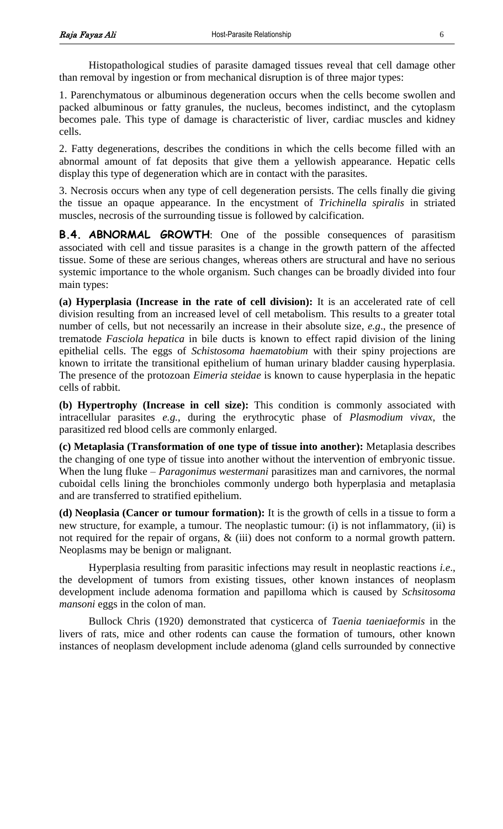Histopathological studies of parasite damaged tissues reveal that cell damage other than removal by ingestion or from mechanical disruption is of three major types:

1. Parenchymatous or albuminous degeneration occurs when the cells become swollen and packed albuminous or fatty granules, the nucleus, becomes indistinct, and the cytoplasm becomes pale. This type of damage is characteristic of liver, cardiac muscles and kidney cells.

2. Fatty degenerations, describes the conditions in which the cells become filled with an abnormal amount of fat deposits that give them a yellowish appearance. Hepatic cells display this type of degeneration which are in contact with the parasites.

3. Necrosis occurs when any type of cell degeneration persists. The cells finally die giving the tissue an opaque appearance. In the encystment of *Trichinella spiralis* in striated muscles, necrosis of the surrounding tissue is followed by calcification.

**B.4. ABNORMAL GROWTH**: One of the possible consequences of parasitism associated with cell and tissue parasites is a change in the growth pattern of the affected tissue. Some of these are serious changes, whereas others are structural and have no serious systemic importance to the whole organism. Such changes can be broadly divided into four main types:

**(a) Hyperplasia (Increase in the rate of cell division):** It is an accelerated rate of cell division resulting from an increased level of cell metabolism. This results to a greater total number of cells, but not necessarily an increase in their absolute size, *e.g*., the presence of trematode *Fasciola hepatica* in bile ducts is known to effect rapid division of the lining epithelial cells. The eggs of *Schistosoma haematobium* with their spiny projections are known to irritate the transitional epithelium of human urinary bladder causing hyperplasia. The presence of the protozoan *Eimeria steidae* is known to cause hyperplasia in the hepatic cells of rabbit.

**(b) Hypertrophy (Increase in cell size):** This condition is commonly associated with intracellular parasites *e.g.*, during the erythrocytic phase of *Plasmodium vivax*, the parasitized red blood cells are commonly enlarged.

**(c) Metaplasia (Transformation of one type of tissue into another):** Metaplasia describes the changing of one type of tissue into another without the intervention of embryonic tissue. When the lung fluke – *Paragonimus westermani* parasitizes man and carnivores, the normal cuboidal cells lining the bronchioles commonly undergo both hyperplasia and metaplasia and are transferred to stratified epithelium.

**(d) Neoplasia (Cancer or tumour formation):** It is the growth of cells in a tissue to form a new structure, for example, a tumour. The neoplastic tumour: (i) is not inflammatory, (ii) is not required for the repair of organs,  $\&$  (iii) does not conform to a normal growth pattern. Neoplasms may be benign or malignant.

Hyperplasia resulting from parasitic infections may result in neoplastic reactions *i.e*., the development of tumors from existing tissues, other known instances of neoplasm development include adenoma formation and papilloma which is caused by *Schsitosoma mansoni* eggs in the colon of man.

Bullock Chris (1920) demonstrated that cysticerca of *Taenia taeniaeformis* in the livers of rats, mice and other rodents can cause the formation of tumours, other known instances of neoplasm development include adenoma (gland cells surrounded by connective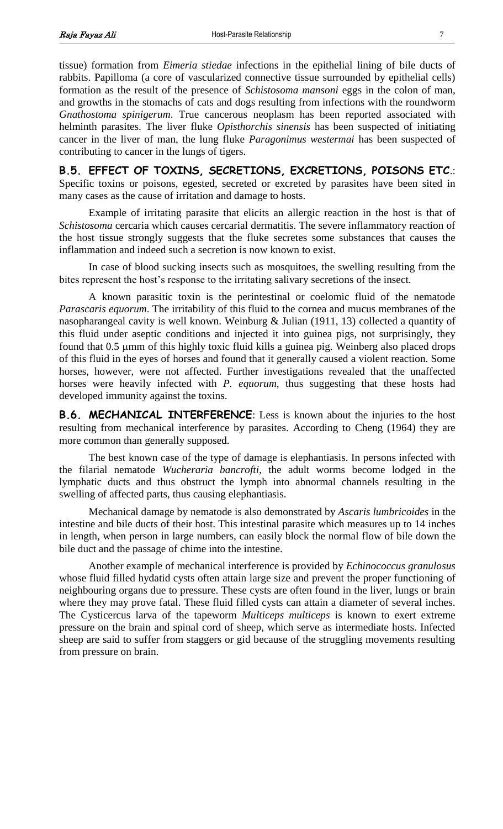tissue) formation from *Eimeria stiedae* infections in the epithelial lining of bile ducts of rabbits. Papilloma (a core of vascularized connective tissue surrounded by epithelial cells) formation as the result of the presence of *Schistosoma mansoni* eggs in the colon of man, and growths in the stomachs of cats and dogs resulting from infections with the roundworm *Gnathostoma spinigerum*. True cancerous neoplasm has been reported associated with helminth parasites. The liver fluke *Opisthorchis sinensis* has been suspected of initiating cancer in the liver of man, the lung fluke *Paragonimus westermai* has been suspected of contributing to cancer in the lungs of tigers.

**B.5. EFFECT OF TOXINS, SECRETIONS, EXCRETIONS, POISONS ETC**.: Specific toxins or poisons, egested, secreted or excreted by parasites have been sited in many cases as the cause of irritation and damage to hosts.

Example of irritating parasite that elicits an allergic reaction in the host is that of *Schistosoma* cercaria which causes cercarial dermatitis. The severe inflammatory reaction of the host tissue strongly suggests that the fluke secretes some substances that causes the inflammation and indeed such a secretion is now known to exist.

In case of blood sucking insects such as mosquitoes, the swelling resulting from the bites represent the host's response to the irritating salivary secretions of the insect.

A known parasitic toxin is the perintestinal or coelomic fluid of the nematode *Parascaris equorum*. The irritability of this fluid to the cornea and mucus membranes of the nasopharangeal cavity is well known. Weinburg & Julian (1911, 13) collected a quantity of this fluid under aseptic conditions and injected it into guinea pigs, not surprisingly, they found that 0.5 µmm of this highly toxic fluid kills a guinea pig. Weinberg also placed drops of this fluid in the eyes of horses and found that it generally caused a violent reaction. Some horses, however, were not affected. Further investigations revealed that the unaffected horses were heavily infected with *P. equorum*, thus suggesting that these hosts had developed immunity against the toxins.

**B.6. MECHANICAL INTERFERENCE:** Less is known about the injuries to the host resulting from mechanical interference by parasites. According to Cheng (1964) they are more common than generally supposed.

The best known case of the type of damage is elephantiasis. In persons infected with the filarial nematode *Wucheraria bancrofti*, the adult worms become lodged in the lymphatic ducts and thus obstruct the lymph into abnormal channels resulting in the swelling of affected parts, thus causing elephantiasis.

Mechanical damage by nematode is also demonstrated by *Ascaris lumbricoides* in the intestine and bile ducts of their host. This intestinal parasite which measures up to 14 inches in length, when person in large numbers, can easily block the normal flow of bile down the bile duct and the passage of chime into the intestine.

Another example of mechanical interference is provided by *Echinococcus granulosus* whose fluid filled hydatid cysts often attain large size and prevent the proper functioning of neighbouring organs due to pressure. These cysts are often found in the liver, lungs or brain where they may prove fatal. These fluid filled cysts can attain a diameter of several inches. The Cysticercus larva of the tapeworm *Multiceps multiceps* is known to exert extreme pressure on the brain and spinal cord of sheep, which serve as intermediate hosts. Infected sheep are said to suffer from staggers or gid because of the struggling movements resulting from pressure on brain.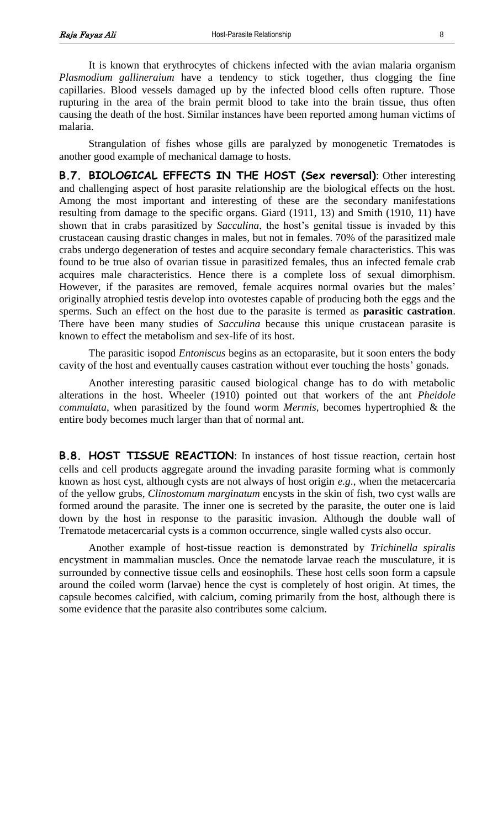It is known that erythrocytes of chickens infected with the avian malaria organism *Plasmodium gallineraium* have a tendency to stick together, thus clogging the fine capillaries. Blood vessels damaged up by the infected blood cells often rupture. Those rupturing in the area of the brain permit blood to take into the brain tissue, thus often causing the death of the host. Similar instances have been reported among human victims of malaria.

Strangulation of fishes whose gills are paralyzed by monogenetic Trematodes is another good example of mechanical damage to hosts.

**B.7. BIOLOGICAL EFFECTS IN THE HOST (Sex reversal)**: Other interesting and challenging aspect of host parasite relationship are the biological effects on the host. Among the most important and interesting of these are the secondary manifestations resulting from damage to the specific organs. Giard (1911, 13) and Smith (1910, 11) have shown that in crabs parasitized by *Sacculina*, the host's genital tissue is invaded by this crustacean causing drastic changes in males, but not in females. 70% of the parasitized male crabs undergo degeneration of testes and acquire secondary female characteristics. This was found to be true also of ovarian tissue in parasitized females, thus an infected female crab acquires male characteristics. Hence there is a complete loss of sexual dimorphism. However, if the parasites are removed, female acquires normal ovaries but the males' originally atrophied testis develop into ovotestes capable of producing both the eggs and the sperms. Such an effect on the host due to the parasite is termed as **parasitic castration**. There have been many studies of *Sacculina* because this unique crustacean parasite is known to effect the metabolism and sex-life of its host.

The parasitic isopod *Entoniscus* begins as an ectoparasite, but it soon enters the body cavity of the host and eventually causes castration without ever touching the hosts' gonads.

Another interesting parasitic caused biological change has to do with metabolic alterations in the host. Wheeler (1910) pointed out that workers of the ant *Pheidole commulata*, when parasitized by the found worm *Mermis*, becomes hypertrophied & the entire body becomes much larger than that of normal ant.

**B.8. HOST TISSUE REACTION**: In instances of host tissue reaction, certain host cells and cell products aggregate around the invading parasite forming what is commonly known as host cyst, although cysts are not always of host origin *e.g*., when the metacercaria of the yellow grubs, *Clinostomum marginatum* encysts in the skin of fish, two cyst walls are formed around the parasite. The inner one is secreted by the parasite, the outer one is laid down by the host in response to the parasitic invasion. Although the double wall of Trematode metacercarial cysts is a common occurrence, single walled cysts also occur.

Another example of host-tissue reaction is demonstrated by *Trichinella spiralis* encystment in mammalian muscles. Once the nematode larvae reach the musculature, it is surrounded by connective tissue cells and eosinophils. These host cells soon form a capsule around the coiled worm (larvae) hence the cyst is completely of host origin. At times, the capsule becomes calcified, with calcium, coming primarily from the host, although there is some evidence that the parasite also contributes some calcium.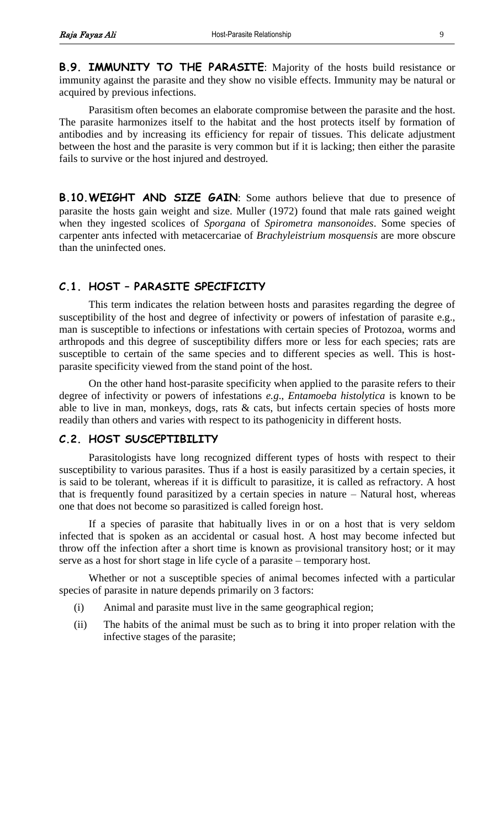**B.9. IMMUNITY TO THE PARASITE**: Majority of the hosts build resistance or immunity against the parasite and they show no visible effects. Immunity may be natural or acquired by previous infections.

Parasitism often becomes an elaborate compromise between the parasite and the host. The parasite harmonizes itself to the habitat and the host protects itself by formation of antibodies and by increasing its efficiency for repair of tissues. This delicate adjustment between the host and the parasite is very common but if it is lacking; then either the parasite fails to survive or the host injured and destroyed.

**B.10.WEIGHT AND SIZE GAIN**: Some authors believe that due to presence of parasite the hosts gain weight and size. Muller (1972) found that male rats gained weight when they ingested scolices of *Sporgana* of *Spirometra mansonoides*. Some species of carpenter ants infected with metacercariae of *Brachyleistrium mosquensis* are more obscure than the uninfected ones.

# **C.1. HOST – PARASITE SPECIFICITY**

This term indicates the relation between hosts and parasites regarding the degree of susceptibility of the host and degree of infectivity or powers of infestation of parasite e.g., man is susceptible to infections or infestations with certain species of Protozoa, worms and arthropods and this degree of susceptibility differs more or less for each species; rats are susceptible to certain of the same species and to different species as well. This is hostparasite specificity viewed from the stand point of the host.

On the other hand host-parasite specificity when applied to the parasite refers to their degree of infectivity or powers of infestations *e.g*., *Entamoeba histolytica* is known to be able to live in man, monkeys, dogs, rats & cats, but infects certain species of hosts more readily than others and varies with respect to its pathogenicity in different hosts.

### **C.2. HOST SUSCEPTIBILITY**

Parasitologists have long recognized different types of hosts with respect to their susceptibility to various parasites. Thus if a host is easily parasitized by a certain species, it is said to be tolerant, whereas if it is difficult to parasitize, it is called as refractory. A host that is frequently found parasitized by a certain species in nature – Natural host, whereas one that does not become so parasitized is called foreign host.

If a species of parasite that habitually lives in or on a host that is very seldom infected that is spoken as an accidental or casual host. A host may become infected but throw off the infection after a short time is known as provisional transitory host; or it may serve as a host for short stage in life cycle of a parasite – temporary host.

Whether or not a susceptible species of animal becomes infected with a particular species of parasite in nature depends primarily on 3 factors:

- (i) Animal and parasite must live in the same geographical region;
- (ii) The habits of the animal must be such as to bring it into proper relation with the infective stages of the parasite;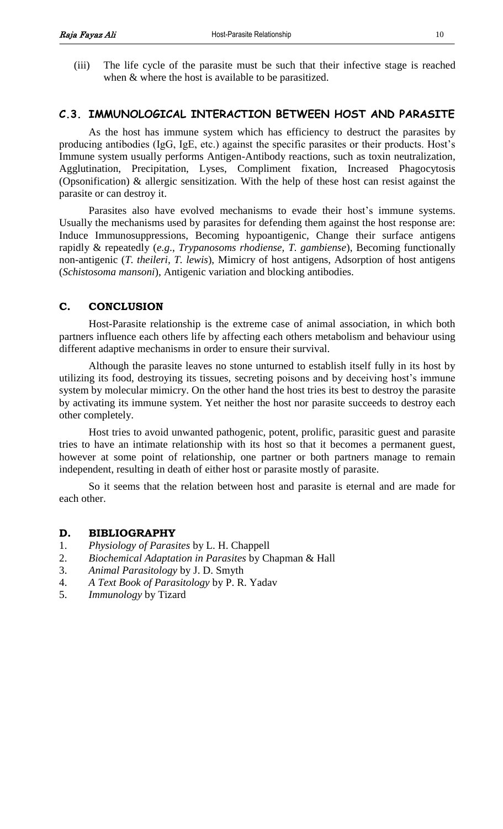(iii) The life cycle of the parasite must be such that their infective stage is reached when & where the host is available to be parasitized.

# **C.3. IMMUNOLOGICAL INTERACTION BETWEEN HOST AND PARASITE**

As the host has immune system which has efficiency to destruct the parasites by producing antibodies (IgG, IgE, etc.) against the specific parasites or their products. Host's Immune system usually performs Antigen-Antibody reactions, such as toxin neutralization, Agglutination, Precipitation, Lyses, Compliment fixation, Increased Phagocytosis (Opsonification) & allergic sensitization. With the help of these host can resist against the parasite or can destroy it.

Parasites also have evolved mechanisms to evade their host's immune systems. Usually the mechanisms used by parasites for defending them against the host response are: Induce Immunosuppressions, Becoming hypoantigenic, Change their surface antigens rapidly & repeatedly (*e.g*., *Trypanosoms rhodiense, T. gambiense*), Becoming functionally non-antigenic (*T. theileri, T. lewis*), Mimicry of host antigens, Adsorption of host antigens (*Schistosoma mansoni*), Antigenic variation and blocking antibodies.

### **C. CONCLUSION**

Host-Parasite relationship is the extreme case of animal association, in which both partners influence each others life by affecting each others metabolism and behaviour using different adaptive mechanisms in order to ensure their survival.

Although the parasite leaves no stone unturned to establish itself fully in its host by utilizing its food, destroying its tissues, secreting poisons and by deceiving host's immune system by molecular mimicry. On the other hand the host tries its best to destroy the parasite by activating its immune system. Yet neither the host nor parasite succeeds to destroy each other completely.

Host tries to avoid unwanted pathogenic, potent, prolific, parasitic guest and parasite tries to have an intimate relationship with its host so that it becomes a permanent guest, however at some point of relationship, one partner or both partners manage to remain independent, resulting in death of either host or parasite mostly of parasite.

So it seems that the relation between host and parasite is eternal and are made for each other.

#### **D. BIBLIOGRAPHY**

- 1. *Physiology of Parasites* by L. H. Chappell
- 2. *Biochemical Adaptation in Parasites* by Chapman & Hall
- 3. *Animal Parasitology* by J. D. Smyth
- 4. *A Text Book of Parasitology* by P. R. Yadav
- 5. *Immunology* by Tizard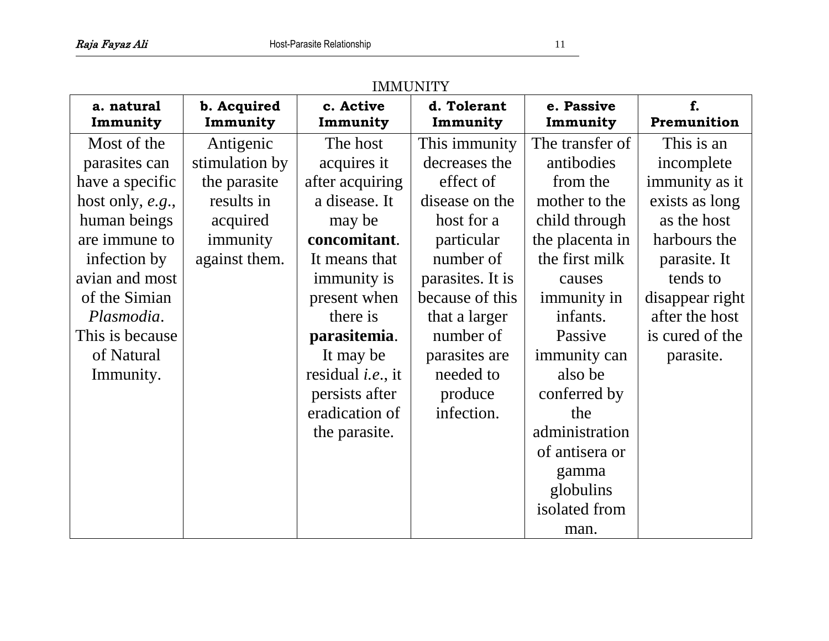# IMMUNITY

| a. natural<br>Immunity | b. Acquired<br>Immunity | c. Active<br>Immunity     | d. Tolerant<br>Immunity | e. Passive<br>Immunity | f.<br>Premunition |
|------------------------|-------------------------|---------------------------|-------------------------|------------------------|-------------------|
| Most of the            | Antigenic               | The host                  | This immunity           | The transfer of        | This is an        |
| parasites can          | stimulation by          | acquires it               | decreases the           | antibodies             | incomplete        |
| have a specific        | the parasite            | after acquiring           | effect of               | from the               | immunity as it    |
| host only, $e.g.,$     | results in              | a disease. It             | disease on the          | mother to the          | exists as long    |
| human beings           | acquired                | may be                    | host for a              | child through          | as the host       |
| are immune to          | immunity                | concomitant.              | particular              | the placenta in        | harbours the      |
| infection by           | against them.           | It means that             | number of               | the first milk         | parasite. It      |
| avian and most         |                         | immunity is               | parasites. It is        | causes                 | tends to          |
| of the Simian          |                         | present when              | because of this         | immunity in            | disappear right   |
| Plasmodia.             |                         | there is                  | that a larger           | infants.               | after the host    |
| This is because        |                         | parasitemia.              | number of               | Passive                | is cured of the   |
| of Natural             |                         | It may be                 | parasites are           | immunity can           | parasite.         |
| Immunity.              |                         | residual <i>i.e.</i> , it | needed to               | also be                |                   |
|                        |                         | persists after            | produce                 | conferred by           |                   |
|                        |                         | eradication of            | infection.              | the                    |                   |
|                        |                         | the parasite.             |                         | administration         |                   |
|                        |                         |                           |                         | of antisera or         |                   |
|                        |                         |                           |                         | gamma                  |                   |
|                        |                         |                           |                         | globulins              |                   |
|                        |                         |                           |                         | isolated from          |                   |
|                        |                         |                           |                         | man.                   |                   |